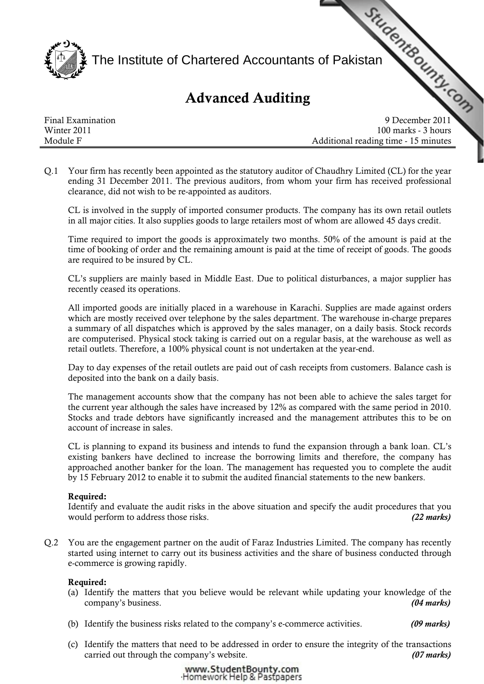

# Advanced Auditing

|                   | ≹ The Institute of Chartered Accountants of Pakistan<br><b>Advanced Auditing</b> |  |
|-------------------|----------------------------------------------------------------------------------|--|
| Final Examination | 9 December 2011                                                                  |  |
| Winter 2011       | 100 marks - 3 hours                                                              |  |
| Module F          | Additional reading time - 15 minutes                                             |  |

Q.1 Your firm has recently been appointed as the statutory auditor of Chaudhry Limited (CL) for the year ending 31 December 2011. The previous auditors, from whom your firm has received professional clearance, did not wish to be re-appointed as auditors.

 CL is involved in the supply of imported consumer products. The company has its own retail outlets in all major cities. It also supplies goods to large retailers most of whom are allowed 45 days credit.

 Time required to import the goods is approximately two months. 50% of the amount is paid at the time of booking of order and the remaining amount is paid at the time of receipt of goods. The goods are required to be insured by CL.

 CL's suppliers are mainly based in Middle East. Due to political disturbances, a major supplier has recently ceased its operations.

 All imported goods are initially placed in a warehouse in Karachi. Supplies are made against orders which are mostly received over telephone by the sales department. The warehouse in-charge prepares a summary of all dispatches which is approved by the sales manager, on a daily basis. Stock records are computerised. Physical stock taking is carried out on a regular basis, at the warehouse as well as retail outlets. Therefore, a 100% physical count is not undertaken at the year-end.

 Day to day expenses of the retail outlets are paid out of cash receipts from customers. Balance cash is deposited into the bank on a daily basis.

 The management accounts show that the company has not been able to achieve the sales target for the current year although the sales have increased by 12% as compared with the same period in 2010. Stocks and trade debtors have significantly increased and the management attributes this to be on account of increase in sales.

 CL is planning to expand its business and intends to fund the expansion through a bank loan. CL's existing bankers have declined to increase the borrowing limits and therefore, the company has approached another banker for the loan. The management has requested you to complete the audit by 15 February 2012 to enable it to submit the audited financial statements to the new bankers.

# Required:

 Identify and evaluate the audit risks in the above situation and specify the audit procedures that you would perform to address those risks. *(22 marks)*

Q.2 You are the engagement partner on the audit of Faraz Industries Limited. The company has recently started using internet to carry out its business activities and the share of business conducted through e-commerce is growing rapidly.

## Required:

- (a) Identify the matters that you believe would be relevant while updating your knowledge of the company's business. *(04 marks)*
- (b) Identify the business risks related to the company's e-commerce activities. *(09 marks)*
- (c) Identify the matters that need to be addressed in order to ensure the integrity of the transactions carried out through the company's website. *(07 marks)*

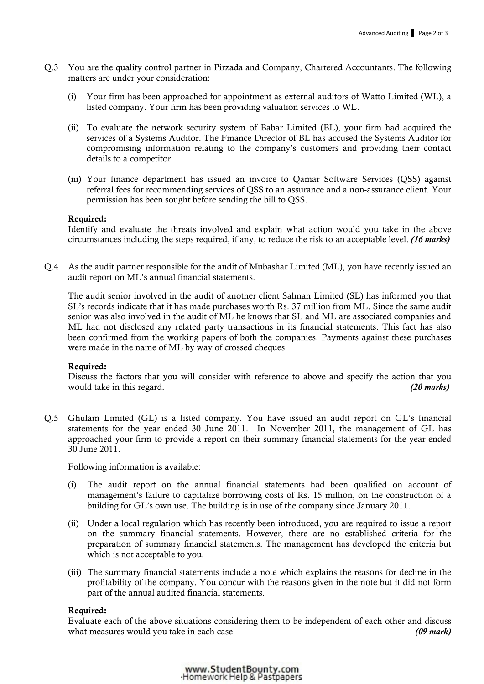- Q.3 You are the quality control partner in Pirzada and Company, Chartered Accountants. The following matters are under your consideration:
	- (i) Your firm has been approached for appointment as external auditors of Watto Limited (WL), a listed company. Your firm has been providing valuation services to WL.
	- (ii) To evaluate the network security system of Babar Limited (BL), your firm had acquired the services of a Systems Auditor. The Finance Director of BL has accused the Systems Auditor for compromising information relating to the company's customers and providing their contact details to a competitor.
	- (iii) Your finance department has issued an invoice to Qamar Software Services (QSS) against referral fees for recommending services of QSS to an assurance and a non-assurance client. Your permission has been sought before sending the bill to QSS.

#### Required:

 Identify and evaluate the threats involved and explain what action would you take in the above circumstances including the steps required, if any, to reduce the risk to an acceptable level. *(16 marks)*

Q.4 As the audit partner responsible for the audit of Mubashar Limited (ML), you have recently issued an audit report on ML's annual financial statements.

 The audit senior involved in the audit of another client Salman Limited (SL) has informed you that SL's records indicate that it has made purchases worth Rs. 37 million from ML. Since the same audit senior was also involved in the audit of ML he knows that SL and ML are associated companies and ML had not disclosed any related party transactions in its financial statements. This fact has also been confirmed from the working papers of both the companies. Payments against these purchases were made in the name of ML by way of crossed cheques.

#### Required:

 Discuss the factors that you will consider with reference to above and specify the action that you would take in this regard. *(20 marks)*

Q.5 Ghulam Limited (GL) is a listed company. You have issued an audit report on GL's financial statements for the year ended 30 June 2011. In November 2011, the management of GL has approached your firm to provide a report on their summary financial statements for the year ended 30 June 2011.

Following information is available:

- (i) The audit report on the annual financial statements had been qualified on account of management's failure to capitalize borrowing costs of Rs. 15 million, on the construction of a building for GL's own use. The building is in use of the company since January 2011.
- (ii) Under a local regulation which has recently been introduced, you are required to issue a report on the summary financial statements. However, there are no established criteria for the preparation of summary financial statements. The management has developed the criteria but which is not acceptable to you.
- (iii) The summary financial statements include a note which explains the reasons for decline in the profitability of the company. You concur with the reasons given in the note but it did not form part of the annual audited financial statements.

#### Required:

Evaluate each of the above situations considering them to be independent of each other and discuss what measures would you take in each case. *(09 mark)*